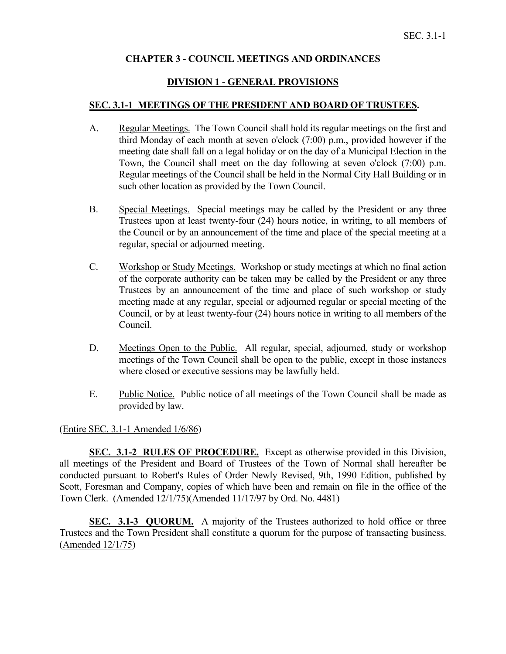# **CHAPTER 3 - COUNCIL MEETINGS AND ORDINANCES**

### **DIVISION 1 - GENERAL PROVISIONS**

#### **SEC. 3.1-1 MEETINGS OF THE PRESIDENT AND BOARD OF TRUSTEES.**

- A. Regular Meetings. The Town Council shall hold its regular meetings on the first and third Monday of each month at seven o'clock (7:00) p.m., provided however if the meeting date shall fall on a legal holiday or on the day of a Municipal Election in the Town, the Council shall meet on the day following at seven o'clock (7:00) p.m. Regular meetings of the Council shall be held in the Normal City Hall Building or in such other location as provided by the Town Council.
- B. Special Meetings. Special meetings may be called by the President or any three Trustees upon at least twenty-four (24) hours notice, in writing, to all members of the Council or by an announcement of the time and place of the special meeting at a regular, special or adjourned meeting.
- C. Workshop or Study Meetings. Workshop or study meetings at which no final action of the corporate authority can be taken may be called by the President or any three Trustees by an announcement of the time and place of such workshop or study meeting made at any regular, special or adjourned regular or special meeting of the Council, or by at least twenty-four (24) hours notice in writing to all members of the Council.
- D. Meetings Open to the Public. All regular, special, adjourned, study or workshop meetings of the Town Council shall be open to the public, except in those instances where closed or executive sessions may be lawfully held.
- E. Public Notice. Public notice of all meetings of the Town Council shall be made as provided by law.

(Entire SEC. 3.1-1 Amended 1/6/86)

**SEC. 3.1-2 RULES OF PROCEDURE.** Except as otherwise provided in this Division, all meetings of the President and Board of Trustees of the Town of Normal shall hereafter be conducted pursuant to Robert's Rules of Order Newly Revised, 9th, 1990 Edition, published by Scott, Foresman and Company, copies of which have been and remain on file in the office of the Town Clerk. (Amended 12/1/75)(Amended 11/17/97 by Ord. No. 4481)

**SEC. 3.1-3 QUORUM.** A majority of the Trustees authorized to hold office or three Trustees and the Town President shall constitute a quorum for the purpose of transacting business. (Amended 12/1/75)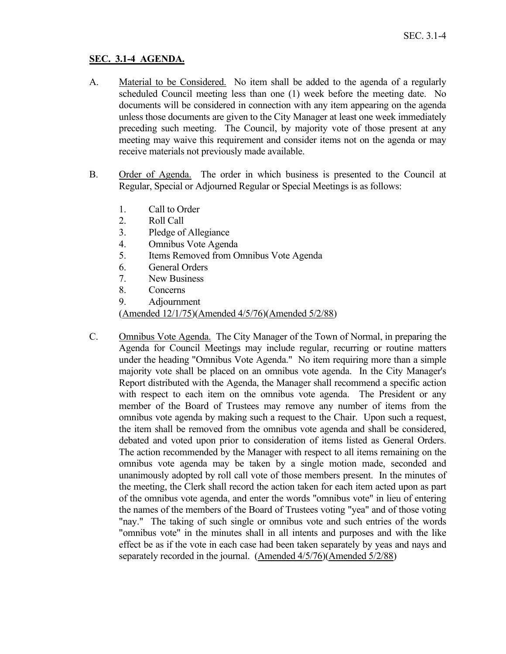#### **SEC. 3.1-4 AGENDA.**

- A. Material to be Considered. No item shall be added to the agenda of a regularly scheduled Council meeting less than one (1) week before the meeting date. No documents will be considered in connection with any item appearing on the agenda unless those documents are given to the City Manager at least one week immediately preceding such meeting. The Council, by majority vote of those present at any meeting may waive this requirement and consider items not on the agenda or may receive materials not previously made available.
- B. Order of Agenda. The order in which business is presented to the Council at Regular, Special or Adjourned Regular or Special Meetings is as follows:
	- 1. Call to Order
	- 2. Roll Call
	- 3. Pledge of Allegiance
	- 4. Omnibus Vote Agenda
	- 5. Items Removed from Omnibus Vote Agenda
	- 6. General Orders
	- 7. New Business
	- 8. Concerns
	- 9. Adjournment

(Amended 12/1/75)(Amended 4/5/76)(Amended 5/2/88)

C. Omnibus Vote Agenda. The City Manager of the Town of Normal, in preparing the Agenda for Council Meetings may include regular, recurring or routine matters under the heading "Omnibus Vote Agenda." No item requiring more than a simple majority vote shall be placed on an omnibus vote agenda. In the City Manager's Report distributed with the Agenda, the Manager shall recommend a specific action with respect to each item on the omnibus vote agenda. The President or any member of the Board of Trustees may remove any number of items from the omnibus vote agenda by making such a request to the Chair. Upon such a request, the item shall be removed from the omnibus vote agenda and shall be considered, debated and voted upon prior to consideration of items listed as General Orders. The action recommended by the Manager with respect to all items remaining on the omnibus vote agenda may be taken by a single motion made, seconded and unanimously adopted by roll call vote of those members present. In the minutes of the meeting, the Clerk shall record the action taken for each item acted upon as part of the omnibus vote agenda, and enter the words "omnibus vote" in lieu of entering the names of the members of the Board of Trustees voting "yea" and of those voting "nay." The taking of such single or omnibus vote and such entries of the words "omnibus vote" in the minutes shall in all intents and purposes and with the like effect be as if the vote in each case had been taken separately by yeas and nays and separately recorded in the journal. (Amended 4/5/76)(Amended 5/2/88)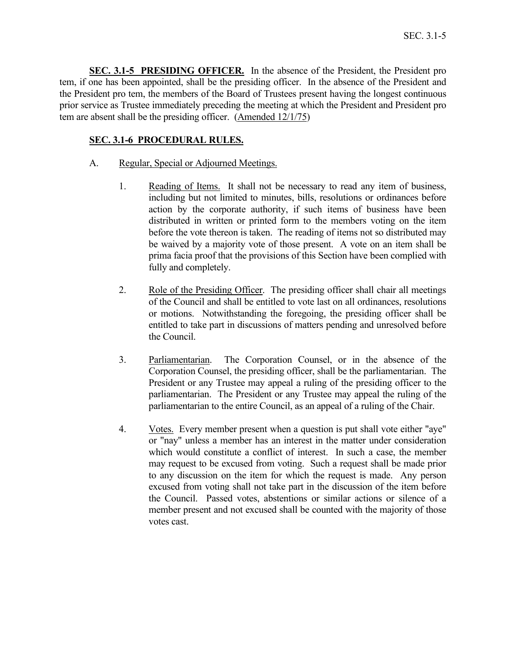**SEC. 3.1-5 PRESIDING OFFICER.** In the absence of the President, the President pro tem, if one has been appointed, shall be the presiding officer. In the absence of the President and the President pro tem, the members of the Board of Trustees present having the longest continuous prior service as Trustee immediately preceding the meeting at which the President and President pro tem are absent shall be the presiding officer. (Amended 12/1/75)

# **SEC. 3.1-6 PROCEDURAL RULES.**

- A. Regular, Special or Adjourned Meetings.
	- 1. Reading of Items. It shall not be necessary to read any item of business, including but not limited to minutes, bills, resolutions or ordinances before action by the corporate authority, if such items of business have been distributed in written or printed form to the members voting on the item before the vote thereon is taken. The reading of items not so distributed may be waived by a majority vote of those present. A vote on an item shall be prima facia proof that the provisions of this Section have been complied with fully and completely.
	- 2. Role of the Presiding Officer. The presiding officer shall chair all meetings of the Council and shall be entitled to vote last on all ordinances, resolutions or motions. Notwithstanding the foregoing, the presiding officer shall be entitled to take part in discussions of matters pending and unresolved before the Council.
	- 3. Parliamentarian. The Corporation Counsel, or in the absence of the Corporation Counsel, the presiding officer, shall be the parliamentarian. The President or any Trustee may appeal a ruling of the presiding officer to the parliamentarian. The President or any Trustee may appeal the ruling of the parliamentarian to the entire Council, as an appeal of a ruling of the Chair.
	- 4. Votes. Every member present when a question is put shall vote either "aye" or "nay" unless a member has an interest in the matter under consideration which would constitute a conflict of interest. In such a case, the member may request to be excused from voting. Such a request shall be made prior to any discussion on the item for which the request is made. Any person excused from voting shall not take part in the discussion of the item before the Council. Passed votes, abstentions or similar actions or silence of a member present and not excused shall be counted with the majority of those votes cast.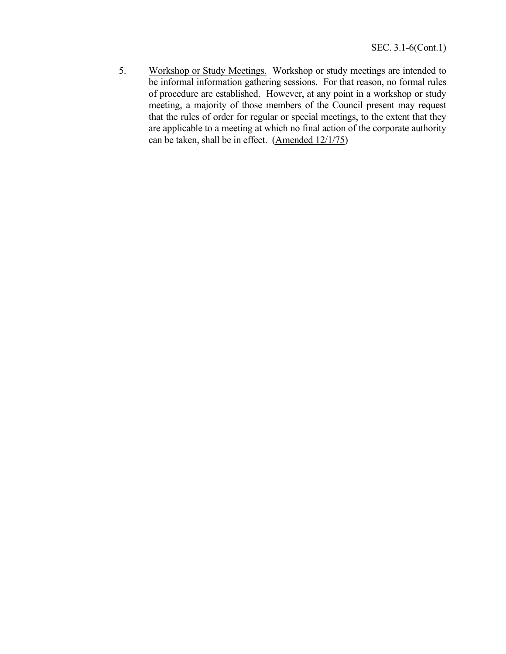5. Workshop or Study Meetings. Workshop or study meetings are intended to be informal information gathering sessions. For that reason, no formal rules of procedure are established. However, at any point in a workshop or study meeting, a majority of those members of the Council present may request that the rules of order for regular or special meetings, to the extent that they are applicable to a meeting at which no final action of the corporate authority can be taken, shall be in effect. (Amended 12/1/75)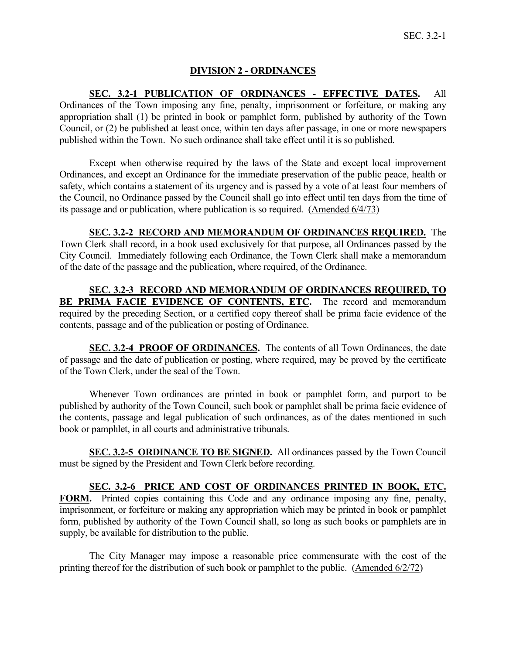# **DIVISION 2 - ORDINANCES**

**SEC. 3.2-1 PUBLICATION OF ORDINANCES - EFFECTIVE DATES.** All Ordinances of the Town imposing any fine, penalty, imprisonment or forfeiture, or making any appropriation shall (1) be printed in book or pamphlet form, published by authority of the Town Council, or (2) be published at least once, within ten days after passage, in one or more newspapers published within the Town. No such ordinance shall take effect until it is so published.

Except when otherwise required by the laws of the State and except local improvement Ordinances, and except an Ordinance for the immediate preservation of the public peace, health or safety, which contains a statement of its urgency and is passed by a vote of at least four members of the Council, no Ordinance passed by the Council shall go into effect until ten days from the time of its passage and or publication, where publication is so required. (Amended 6/4/73)

**SEC. 3.2-2 RECORD AND MEMORANDUM OF ORDINANCES REQUIRED.** The Town Clerk shall record, in a book used exclusively for that purpose, all Ordinances passed by the City Council. Immediately following each Ordinance, the Town Clerk shall make a memorandum of the date of the passage and the publication, where required, of the Ordinance.

**SEC. 3.2-3 RECORD AND MEMORANDUM OF ORDINANCES REQUIRED, TO**  BE PRIMA FACIE EVIDENCE OF CONTENTS, ETC. The record and memorandum required by the preceding Section, or a certified copy thereof shall be prima facie evidence of the contents, passage and of the publication or posting of Ordinance.

**SEC. 3.2-4 PROOF OF ORDINANCES.** The contents of all Town Ordinances, the date of passage and the date of publication or posting, where required, may be proved by the certificate of the Town Clerk, under the seal of the Town.

Whenever Town ordinances are printed in book or pamphlet form, and purport to be published by authority of the Town Council, such book or pamphlet shall be prima facie evidence of the contents, passage and legal publication of such ordinances, as of the dates mentioned in such book or pamphlet, in all courts and administrative tribunals.

**SEC. 3.2-5 ORDINANCE TO BE SIGNED.** All ordinances passed by the Town Council must be signed by the President and Town Clerk before recording.

**SEC. 3.2-6 PRICE AND COST OF ORDINANCES PRINTED IN BOOK, ETC.** FORM. Printed copies containing this Code and any ordinance imposing any fine, penalty, imprisonment, or forfeiture or making any appropriation which may be printed in book or pamphlet form, published by authority of the Town Council shall, so long as such books or pamphlets are in supply, be available for distribution to the public.

The City Manager may impose a reasonable price commensurate with the cost of the printing thereof for the distribution of such book or pamphlet to the public. (Amended 6/2/72)